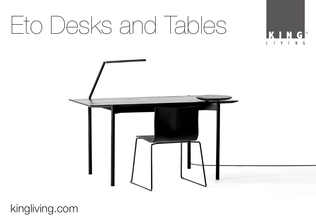# Eto Desks and Tables



kingliving.com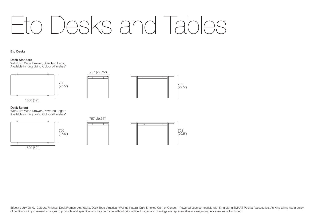## Eto Desks and Tables

#### Eto Desks

#### Desk Standard

With Slim Wide Drawer, Standard Legs, Available in King Living Colours/Finishes\*







#### Desk Select

With Slim Wide Drawer, Powered Legs\*\* Available in King Living Colours/Finishes\*







Effective July 2019. \*Colours/Finishes: Desk Frames: Anthracite. Desk Tops: American Walnut; Natural Oak; Smoked Oak; or Congo. \*\*Powered Legs compatible with King Living SMART Pocket Accessories. As King Living has a poli of continuous improvement, changes to products and specifications may be made without prior notice. Images and drawings are representative of design only. Accessories not included.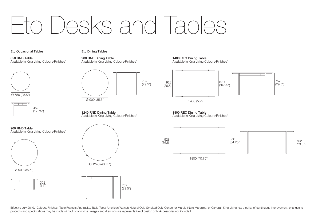## Eto Desks and Tables

### Eto Occasional Tables

650 RND Table Available in King Living Colours/Finishes\*





900 RND Table Available in King Living Colours/Finishes\*



Ø 900 (35.5")



Eto Dining Tables

900 RND Dining Table Available in King Living Colours/Finishes\*



1240 RND Dining Table Available in King Living Colours/Finishes\*



1400 REC Dining Table Available in King Living Colours/Finishes\*



1800 REC Dining Table Available in King Living Colours/Finishes\*



Effective July 2019. \*Colours/Finishes: Table Frames: Anthracite. Table Tops: American Walnut; Natural Oak; Smoked Oak; Congo; or Marble (Nero Marquina; or Carrara). King Living has a policy of continuous improvement, chan products and specifications may be made without prior notice. Images and drawings are representative of design only. Accessories not included.